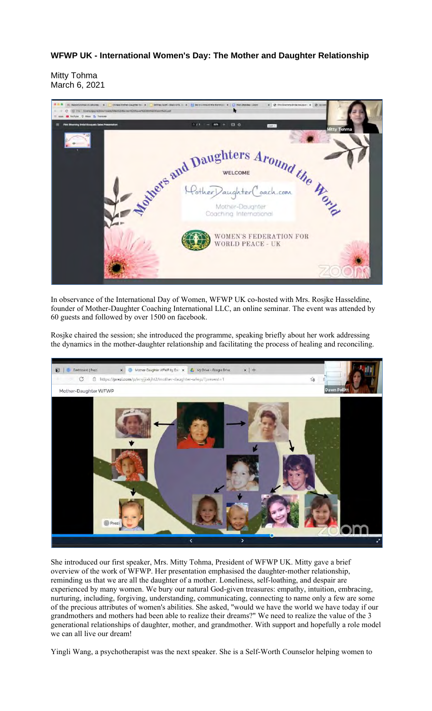## **WFWP UK - International Women's Day: The Mother and Daughter Relationship**

Mitty Tohma March 6, 2021



In observance of the International Day of Women, WFWP UK co-hosted with Mrs. Rosjke Hasseldine, founder of Mother-Daughter Coaching International LLC, an online seminar. The event was attended by 60 guests and followed by over 1500 on facebook.

Rosjke chaired the session; she introduced the programme, speaking briefly about her work addressing the dynamics in the mother-daughter relationship and facilitating the process of healing and reconciling.



She introduced our first speaker, Mrs. Mitty Tohma, President of WFWP UK. Mitty gave a brief overview of the work of WFWP. Her presentation emphasised the daughter-mother relationship, reminding us that we are all the daughter of a mother. Loneliness, self-loathing, and despair are experienced by many women. We bury our natural God-given treasures: empathy, intuition, embracing, nurturing, including, forgiving, understanding, communicating, connecting to name only a few are some of the precious attributes of women's abilities. She asked, "would we have the world we have today if our grandmothers and mothers had been able to realize their dreams?" We need to realize the value of the 3 generational relationships of daughter, mother, and grandmother. With support and hopefully a role model we can all live our dream!

Yingli Wang, a psychotherapist was the next speaker. She is a Self-Worth Counselor helping women to